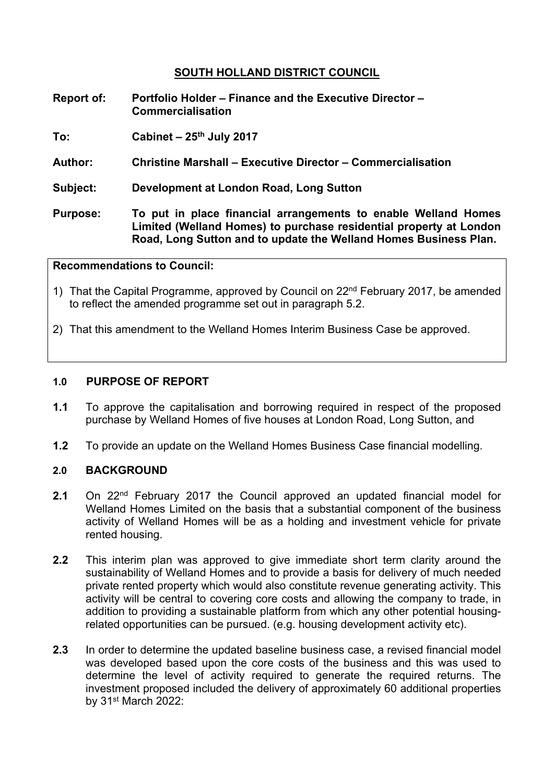# **SOUTH HOLLAND DISTRICT COUNCIL**

**Report of: Portfolio Holder – Finance and the Executive Director – Commercialisation**

**To: Cabinet – 25th July 2017**

- **Author: Christine Marshall – Executive Director – Commercialisation**
- **Subject: Development at London Road, Long Sutton**
- **Purpose: To put in place financial arrangements to enable Welland Homes Limited (Welland Homes) to purchase residential property at London Road, Long Sutton and to update the Welland Homes Business Plan.**

## **Recommendations to Council:**

- 1) That the Capital Programme, approved by Council on 22nd February 2017, be amended to reflect the amended programme set out in paragraph 5.2.
- 2) That this amendment to the Welland Homes Interim Business Case be approved.

### **1.0 PURPOSE OF REPORT**

- **1.1** To approve the capitalisation and borrowing required in respect of the proposed purchase by Welland Homes of five houses at London Road, Long Sutton, and
- **1.2** To provide an update on the Welland Homes Business Case financial modelling.

## **2.0 BACKGROUND**

- **2.1** On 22nd February 2017 the Council approved an updated financial model for Welland Homes Limited on the basis that a substantial component of the business activity of Welland Homes will be as a holding and investment vehicle for private rented housing.
- **2.2** This interim plan was approved to give immediate short term clarity around the sustainability of Welland Homes and to provide a basis for delivery of much needed private rented property which would also constitute revenue generating activity. This activity will be central to covering core costs and allowing the company to trade, in addition to providing a sustainable platform from which any other potential housingrelated opportunities can be pursued. (e.g. housing development activity etc).
- **2.3** In order to determine the updated baseline business case, a revised financial model was developed based upon the core costs of the business and this was used to determine the level of activity required to generate the required returns. The investment proposed included the delivery of approximately 60 additional properties by 31st March 2022: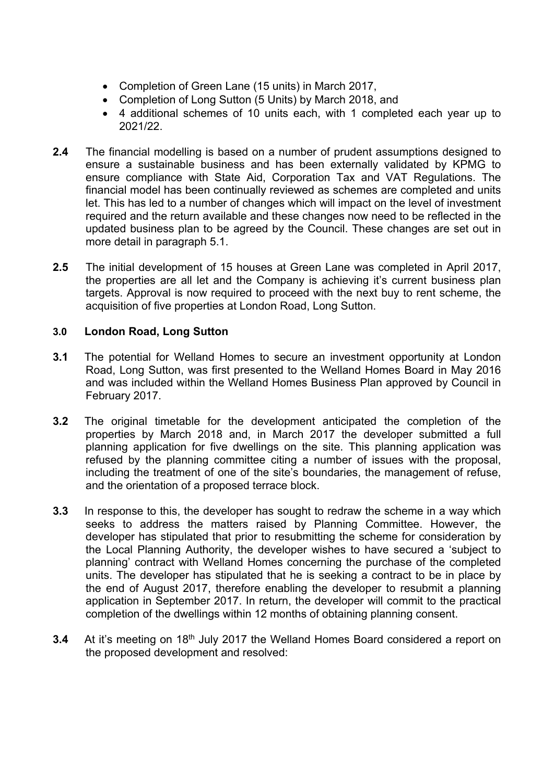- Completion of Green Lane (15 units) in March 2017,
- Completion of Long Sutton (5 Units) by March 2018, and
- 4 additional schemes of 10 units each, with 1 completed each year up to 2021/22.
- **2.4** The financial modelling is based on a number of prudent assumptions designed to ensure a sustainable business and has been externally validated by KPMG to ensure compliance with State Aid, Corporation Tax and VAT Regulations. The financial model has been continually reviewed as schemes are completed and units let. This has led to a number of changes which will impact on the level of investment required and the return available and these changes now need to be reflected in the updated business plan to be agreed by the Council. These changes are set out in more detail in paragraph 5.1.
- **2.5** The initial development of 15 houses at Green Lane was completed in April 2017, the properties are all let and the Company is achieving it's current business plan targets. Approval is now required to proceed with the next buy to rent scheme, the acquisition of five properties at London Road, Long Sutton.

# **3.0 London Road, Long Sutton**

- **3.1** The potential for Welland Homes to secure an investment opportunity at London Road, Long Sutton, was first presented to the Welland Homes Board in May 2016 and was included within the Welland Homes Business Plan approved by Council in February 2017.
- **3.2** The original timetable for the development anticipated the completion of the properties by March 2018 and, in March 2017 the developer submitted a full planning application for five dwellings on the site. This planning application was refused by the planning committee citing a number of issues with the proposal, including the treatment of one of the site's boundaries, the management of refuse, and the orientation of a proposed terrace block.
- **3.3** In response to this, the developer has sought to redraw the scheme in a way which seeks to address the matters raised by Planning Committee. However, the developer has stipulated that prior to resubmitting the scheme for consideration by the Local Planning Authority, the developer wishes to have secured a 'subject to planning' contract with Welland Homes concerning the purchase of the completed units. The developer has stipulated that he is seeking a contract to be in place by the end of August 2017, therefore enabling the developer to resubmit a planning application in September 2017. In return, the developer will commit to the practical completion of the dwellings within 12 months of obtaining planning consent.
- **3.4** At it's meeting on 18<sup>th</sup> July 2017 the Welland Homes Board considered a report on the proposed development and resolved: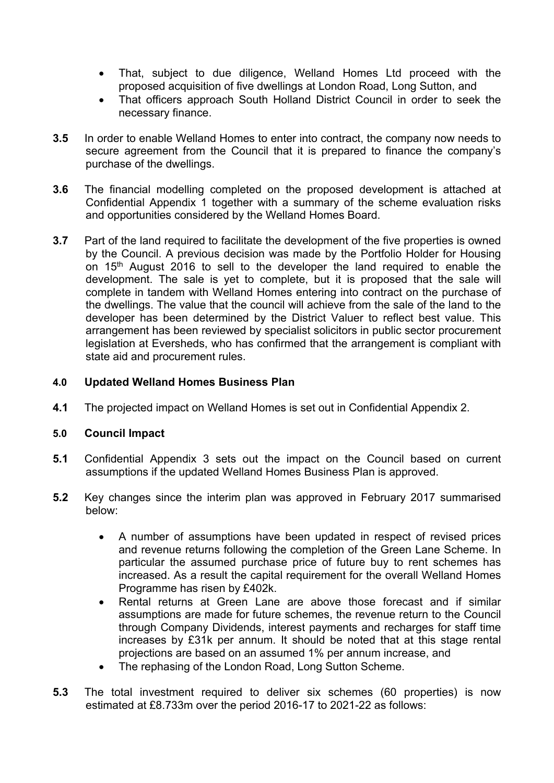- That, subject to due diligence, Welland Homes Ltd proceed with the proposed acquisition of five dwellings at London Road, Long Sutton, and
- That officers approach South Holland District Council in order to seek the necessary finance.
- **3.5** In order to enable Welland Homes to enter into contract, the company now needs to secure agreement from the Council that it is prepared to finance the company's purchase of the dwellings.
- **3.6** The financial modelling completed on the proposed development is attached at Confidential Appendix 1 together with a summary of the scheme evaluation risks and opportunities considered by the Welland Homes Board.
- **3.7** Part of the land required to facilitate the development of the five properties is owned by the Council. A previous decision was made by the Portfolio Holder for Housing on 15th August 2016 to sell to the developer the land required to enable the development. The sale is yet to complete, but it is proposed that the sale will complete in tandem with Welland Homes entering into contract on the purchase of the dwellings. The value that the council will achieve from the sale of the land to the developer has been determined by the District Valuer to reflect best value. This arrangement has been reviewed by specialist solicitors in public sector procurement legislation at Eversheds, who has confirmed that the arrangement is compliant with state aid and procurement rules.

## **4.0 Updated Welland Homes Business Plan**

**4.1** The projected impact on Welland Homes is set out in Confidential Appendix 2.

## **5.0 Council Impact**

- **5.1** Confidential Appendix 3 sets out the impact on the Council based on current assumptions if the updated Welland Homes Business Plan is approved.
- **5.2** Key changes since the interim plan was approved in February 2017 summarised below:
	- A number of assumptions have been updated in respect of revised prices and revenue returns following the completion of the Green Lane Scheme. In particular the assumed purchase price of future buy to rent schemes has increased. As a result the capital requirement for the overall Welland Homes Programme has risen by £402k.
	- Rental returns at Green Lane are above those forecast and if similar assumptions are made for future schemes, the revenue return to the Council through Company Dividends, interest payments and recharges for staff time increases by £31k per annum. It should be noted that at this stage rental projections are based on an assumed 1% per annum increase, and
	- The rephasing of the London Road, Long Sutton Scheme.
- **5.3** The total investment required to deliver six schemes (60 properties) is now estimated at £8.733m over the period 2016-17 to 2021-22 as follows: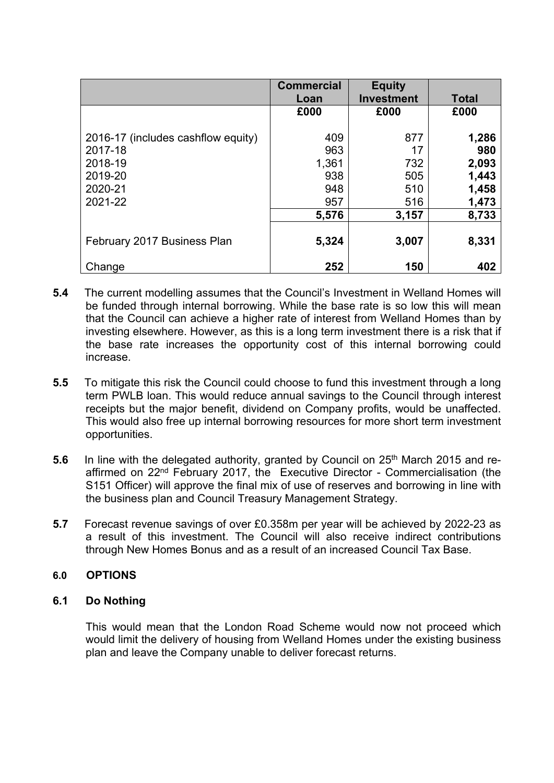|                                    | <b>Commercial</b> | <b>Equity</b>     |              |
|------------------------------------|-------------------|-------------------|--------------|
|                                    | Loan              | <b>Investment</b> | <b>Total</b> |
|                                    | £000              | £000              | £000         |
|                                    |                   |                   |              |
| 2016-17 (includes cashflow equity) | 409               | 877               | 1,286        |
| 2017-18                            | 963               | 17                | 980          |
| 2018-19                            | 1,361             | 732               | 2,093        |
| 2019-20                            | 938               | 505               | 1,443        |
| 2020-21                            | 948               | 510               | 1,458        |
| 2021-22                            | 957               | 516               | 1,473        |
|                                    | 5,576             | 3,157             | 8,733        |
|                                    | 5,324             |                   |              |
| February 2017 Business Plan        |                   | 3,007             | 8,331        |
| Change                             | 252               | 150               | 402          |

- **5.4** The current modelling assumes that the Council's Investment in Welland Homes will be funded through internal borrowing. While the base rate is so low this will mean that the Council can achieve a higher rate of interest from Welland Homes than by investing elsewhere. However, as this is a long term investment there is a risk that if the base rate increases the opportunity cost of this internal borrowing could increase.
- **5.5** To mitigate this risk the Council could choose to fund this investment through a long term PWLB loan. This would reduce annual savings to the Council through interest receipts but the major benefit, dividend on Company profits, would be unaffected. This would also free up internal borrowing resources for more short term investment opportunities.
- **5.6** In line with the delegated authority, granted by Council on 25<sup>th</sup> March 2015 and reaffirmed on 22nd February 2017, the Executive Director - Commercialisation (the S151 Officer) will approve the final mix of use of reserves and borrowing in line with the business plan and Council Treasury Management Strategy.
- **5.7** Forecast revenue savings of over £0.358m per year will be achieved by 2022-23 as a result of this investment. The Council will also receive indirect contributions through New Homes Bonus and as a result of an increased Council Tax Base.

## **6.0 OPTIONS**

## **6.1 Do Nothing**

This would mean that the London Road Scheme would now not proceed which would limit the delivery of housing from Welland Homes under the existing business plan and leave the Company unable to deliver forecast returns.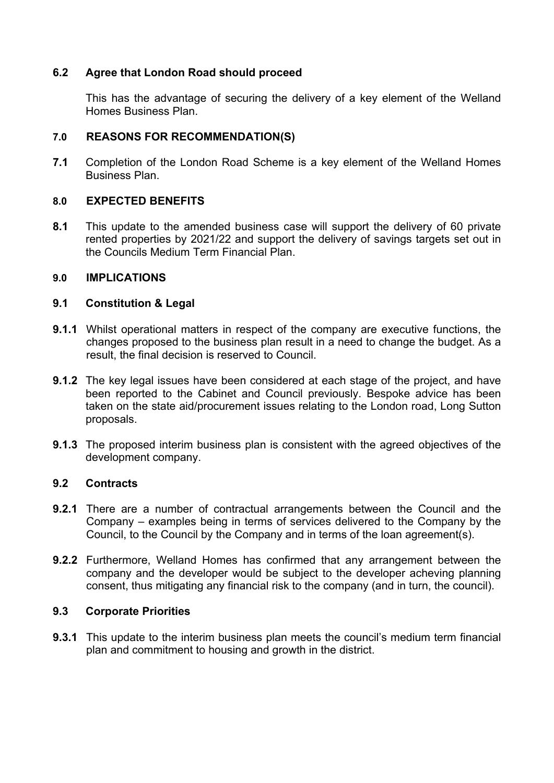# **6.2 Agree that London Road should proceed**

This has the advantage of securing the delivery of a key element of the Welland Homes Business Plan.

## **7.0 REASONS FOR RECOMMENDATION(S)**

**7.1** Completion of the London Road Scheme is a key element of the Welland Homes Business Plan.

### **8.0 EXPECTED BENEFITS**

**8.1** This update to the amended business case will support the delivery of 60 private rented properties by 2021/22 and support the delivery of savings targets set out in the Councils Medium Term Financial Plan.

#### **9.0 IMPLICATIONS**

### **9.1 Constitution & Legal**

- **9.1.1** Whilst operational matters in respect of the company are executive functions, the changes proposed to the business plan result in a need to change the budget. As a result, the final decision is reserved to Council.
- **9.1.2** The key legal issues have been considered at each stage of the project, and have been reported to the Cabinet and Council previously. Bespoke advice has been taken on the state aid/procurement issues relating to the London road, Long Sutton proposals.
- **9.1.3** The proposed interim business plan is consistent with the agreed objectives of the development company.

### **9.2 Contracts**

- **9.2.1** There are a number of contractual arrangements between the Council and the Company – examples being in terms of services delivered to the Company by the Council, to the Council by the Company and in terms of the loan agreement(s).
- **9.2.2** Furthermore, Welland Homes has confirmed that any arrangement between the company and the developer would be subject to the developer acheving planning consent, thus mitigating any financial risk to the company (and in turn, the council).

#### **9.3 Corporate Priorities**

**9.3.1** This update to the interim business plan meets the council's medium term financial plan and commitment to housing and growth in the district.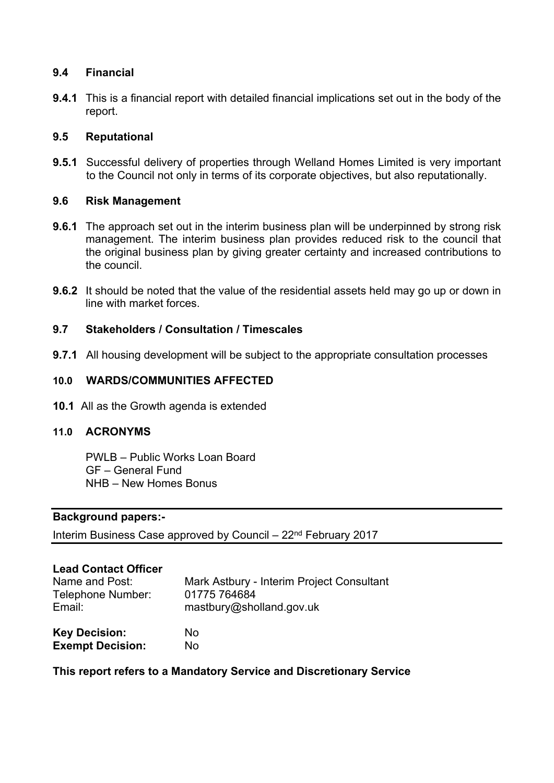# **9.4 Financial**

**9.4.1** This is a financial report with detailed financial implications set out in the body of the report.

## **9.5 Reputational**

**9.5.1** Successful delivery of properties through Welland Homes Limited is very important to the Council not only in terms of its corporate objectives, but also reputationally.

## **9.6 Risk Management**

- **9.6.1** The approach set out in the interim business plan will be underpinned by strong risk management. The interim business plan provides reduced risk to the council that the original business plan by giving greater certainty and increased contributions to the council.
- **9.6.2** It should be noted that the value of the residential assets held may go up or down in line with market forces.

# **9.7 Stakeholders / Consultation / Timescales**

**9.7.1** All housing development will be subject to the appropriate consultation processes

# **10.0 WARDS/COMMUNITIES AFFECTED**

**10.1** All as the Growth agenda is extended

## **11.0 ACRONYMS**

PWLB – Public Works Loan Board GF – General Fund NHB – New Homes Bonus

## **Background papers:-**

Interim Business Case approved by Council – 22nd February 2017

## **Lead Contact Officer**

| Name and Post:          | Mark Astbury - Interim Project Consultant |
|-------------------------|-------------------------------------------|
| Telephone Number:       | 01775 764684                              |
| Email:                  | mastbury@sholland.gov.uk                  |
| <b>Key Decision:</b>    | No.                                       |
| <b>Exempt Decision:</b> | No.                                       |

## **This report refers to a Mandatory Service and Discretionary Service**